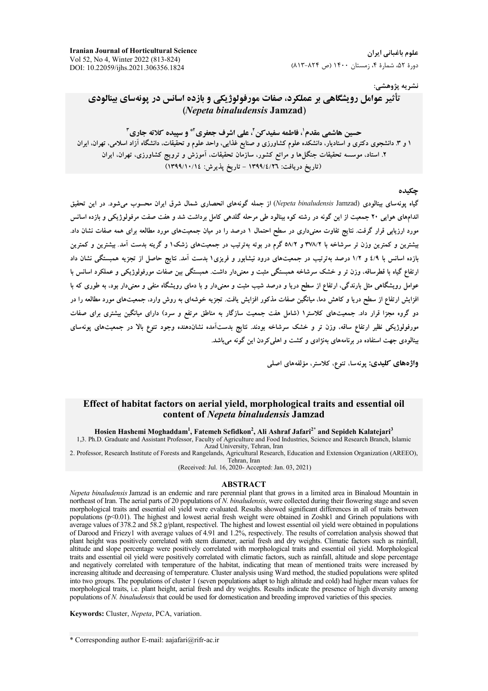علوم باغیانی ایران دورهٔ ۵۲، شمارهٔ ۴، زمستان ۱۴۰۰ (ص ۸۲۴-۸۱۳)

**Iranian Journal of Horticultural Science** Vol 52, No 4, Winter 2022 (813-824) DOI: 10.22059/ijhs.2021.306356.1824

#### نشريه پژوهشي:

# تأثیر عوامل رویشگاهی بر عملکرد، صفات مورفولوژیکی و بازده اسانس در یونهسای بینالودی (Nepeta binaludensis Jamzad)

حسین هاشمی مقدم'، فاطمه سفید کن'، علی اشرف جعفری'\* و سییده کلاته جاری ّ ۱ و ۳ دانشجوی دکتری و استادیار، دانشکده علوم کشاورزی و صنایع غذایی، واحد علوم و تحقیقات، دانشگاه آزاد اسلامی، تهران، ایران ۲. استاد، موسسه تحقیقات جنگلها و مراتع کشور، سازمان تحقیقات، آموزش و ترویج کشاورزی، تهران، ایران (تاريخ دريافت: ١٣٩٩/٤/٢٦ - تاريخ يذيرش: ١٣٩٩/١٠/١)

#### حكىدە

گیاه یونهسای بینالودی (Nepeta binaludensis Jamzad) از جمله گونههای انحصاری شمال شرق ایران محسوب می شود. در این تحقیق اندامهای هوایی ۲۰ جمعیت از این گونه در رشته کوه بینالود طی مرحله گلدهی کامل برداشت شد و هفت صفت مرفولوژیکی و بازده اسانس مورد ارزیابی قرار گرفت. نتایج تفاوت معنیداری در سطح احتمال ۱ درصد را در میان جمعیتهای مورد مطالعه برای همه صفات نشان داد. بیشترین و کمترین وزن تر سرشاخه با ۳۷۸/۲ و ۵۸/۲ گرم در بوته بهترتیب در جمعیتهای زشک۱ و گرینه بدست آمد. بیشترین و کمترین بازده اسانس با ٤/٩ و ١/٢ درصد بهترتيب در جمعيتهاى درود نيشابور و فريزى١ بدست آمد. نتايج حاصل از تجزيه همبستگي نشان داد ارتفاع گیاه با قطرساقه، وزن تر و خشک سرشاخه همبستگی مثبت و معنیدار داشت. همبستگی بین صفات مورفولوژیکی و عملکرد اسانس با عوامل رویشگاهی مثل بارندگی، ارتفاع از سطح دریا و درصد شیب مثبت و معنیدار و با دمای رویشگاه منفی و معنیدار بود، به طوری که با افزایش ارتفاع از سطح دریا و کاهش دما، میانگین صفات مذکور افزایش یافت. تجزیه خوشهای به روش وارد، جمعیتهای مورد مطالعه را در دو گروه مجزا قرار داد. جمعیتهای کلاستر۱ (شامل هفت جمعیت سازگار به مناطق مرتفع و سرد) دارای میانگین بیشتری برای صفات مورفولوژیکی نظیر ارتفاع ساقه، وزن تر و خشک سرشاخه بودند. نتایج بدستآمده نشاندهنده وجود تنوع بالا در جمعیتهای پونهسای بینالودی جهت استفاده در برنامههای بهنژادی و کشت و اهلی کردن این گونه می باشد.

واژەهاي كليدى: پونەسا، تنوع، كلاستر، مؤلفەهاي اصلى

#### Effect of habitat factors on aerial vield, morphological traits and essential oil content of Nepeta binaludensis Jamzad

Hosien Hashemi Moghaddam<sup>1</sup>, Fatemeh Sefidkon<sup>2</sup>, Ali Ashraf Jafari<sup>2\*</sup> and Sepideh Kalatejari<sup>3</sup>

1,3. Ph.D. Graduate and Assistant Professor, Faculty of Agriculture and Food Industries, Science and Research Branch, Islamic Azad University, Tehran, Iran

2. Professor, Research Institute of Forests and Rangelands, Agricultural Research, Education and Extension Organization (AREEO), Tehran, Iran

(Received: Jul. 16, 2020- Accepted: Jan. 03, 2021)

#### **ABSTRACT**

Nepeta binaludensis Jamzad is an endemic and rare perennial plant that grows in a limited area in Binaloud Mountain in northeast of Iran. The aerial parts of 20 populations of N. binaludensis, were collected during their flowering stage and seven morphological traits and essential oil yield were evaluated. Results showed significant differences in all of traits between populations (p<0.01). The highest and lowest aerial fresh weight were obtained in Zoshk1 and Grineh populations with average values of 378.2 and 58.2 g/plant, respectivel. The highest and lowest essential oil yield were obtained in populations of Darood and Friezy1 with average values of 4.91 and 1.2%, respectively. The results of correlation analysis showed that plant height was positively correlated with stem diameter, aerial fresh and dry weights. Climatic factors such as rainfall, altitude and slope percentage were positively correlated with morphological traits and essential oil yield. Morphological traits and essential oil yield were positively correlated with climatic factors, such as rainfall, altitude and slope percentage and negatively correlated with temperature of the habitat, indicating that mean of mentioned traits were increased by increasing altitude and decreasing of temperature. Cluster analysis using Ward method, the studied populations were splited into two groups. The populations of cluster 1 (seven populations adapt to high altitude and cold) had higher mean values for morphological traits, i.e. plant height, aerial fresh and dry weights. Results indicate the presence of high diversity among populations of N. binaludensis that could be used for domestication and breeding improved varieties of this species.

Keywords: Cluster, Nepeta, PCA, variation.

<sup>\*</sup> Corresponding author E-mail: aajafari@rifr-ac.ir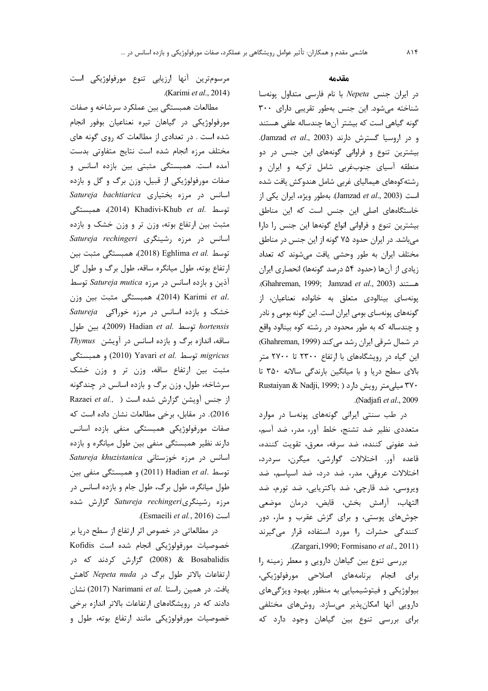#### مقدمه

در ایران جنس Nepeta با نام فارسی متداول پونهسا شناخته می شود. این جنس بهطور تقریبی دارای ۳۰۰ گونه گیاهی است که بیشتر آنها چندساله علفی هستند و در اروسيا گسترش دارند (Jamzad et al., 2003). بیشترین تنوع و فراوانی گونههای این جنس در دو منطقه آسیای جنوبغربی شامل ترکیه و ایران و رشته کوههای هیمالیای غربی شامل هندوکش یافت شده است (Jamzad et al., 2003). بهطور ويژه، ايران يكي از خاستگاههای اصلی این جنس است که این مناطق بیشترین تنوع و فراوانی انواع گونهها این جنس را دارا می باشد. در ایران حدود ۷۵ گونه از این جنس در مناطق مختلف ایران به طور وحشی یافت میشوند که تعداد زیادی از آنها (حدود ۵۴ درصد گونهها) انحصاری ایران .(Ghahreman, 1999; Jamzad et al., 2003). پونهسای بینالودی متعلق به خانواده نعناعیان، از گونههای پونهسای بومی ایران است. این گونه بومی و نادر و چندساله که به طور محدود در رشته کوه بینالود واقع در شمال شرقی ایران رشد می کند (Ghahreman, 1999) این گیاه در رویشگاههای با ارتفاع ۲۳۰۰ تا ۲۷۰۰ متر بالای سطح دریا و با میانگین بارندگی سالانه ۳۵۰ تا ٣٧٠ ميلي متر رويش دارد ( Rustaiyan & Nadji, 1999; .(Nadjafi et al., 2009

در طب سنتی ایرانی گونههای پونهسا در موارد متعددی نظیر ضد تشنج، خلط آور، مدر، ضد آسم، ضد عفونی کننده، ضد سرفه، معرق، تقویت کننده، قاعده آور. اختلالات گوارشی، میگرن، سردرد، اختلالات عروقی، مدر، ضد درد، ضد اسپاسم، ضد ویروسی، ضد قارچی، ضد باکتریایی، ضد تورم، ضد التهاب، آرامش بخش، قابض، درمان موضعي جوشهای پوستی، و برای گزش عقرب و مار، دور کنندگی حشرات را مورد استفاده قرار میگیرند .(Zargari, 1990; Formisano et al., 2011)

بررسی تنوع بین گیاهان دارویی و معطر زمینه را برای انجام برنامههای اصلاحی مورفولوژیکی، بیولوژیکی و فیتوشیمیایی به منظور بهبود ویژگیهای دارویی آنها امکانپذیر میسازد. روشهای مختلفی برای بررسی تنوع بین گیاهان وجود دارد که

مرسومترین آنها ارزیابی تنوع مورفولوژیکی است .(Karimi et al., 2014)

مطالعات همبستگی بین عملکرد سرشاخه و صفات مورفولوژیکی در گیاهان تیره نعناعیان بوفور انجام شده است . در تعدادی از مطالعات که روی گونه های مختلف مرزه انجام شده است نتايج متفاوتى بدست آمده است. همبستگی مثبتی بین بازده اسانس و صفات مورفولوژیکی از قبیل، وزن برگ و گل و بازده Satureja bachtiarica اسانس در مرزه بختیاری توسط .Khadivi-Khub *et al. هم*بستگى مثبت بین ارتفاع بوته، وزن تر و وزن خشک و بازده Satureja rechingeri (شینگری Satureja rechingeri توسط .Eghlima et al (2018) همبستگی مثبت بین ارتفاع بوته، طول میانگره ساقه، طول برگ و طول گل آذين و بازده اسانس در مرزه Satureja mutica توسط .2014) Karimi et al (2014). همبستگی مثبت بین وزن خشک و بازده اسانس در مرزه خوراکی Satureja توسط .Hadian et al توسط .Hadian et dl (2009)، بين طول ساقه، اندازه برگ و بازده اسانس در آویشن Thymus توسط .Yavari et al و (2010) و همبستگی مثبت بین ارتفاع ساقه، وزن تر و وزن خشک سرشاخه، طول، وزن برگ و بازده اسانس در چندگونه Razaei et al., ) از جنس آویشن گزارش شده است 2016). در مقابل، برخی مطالعات نشان داده است که صفات مورفولوژیکی همبستگی منفی بازده اسانس دارند نظیر همبستگی منفی بین طول میانگره و بازده Satureja khuzistanica اسانس در مرزه خوزستانی  $\mu$ توسط .Hadian et al (2011) و همبستگی منفی بین طول میانگره، طول برگ، طول جام و بازده اسانس در مرزه رشینگریSatureja rechingeri گزارش شده .(Esmaeili et al., 2016)

در مطالعاتی در خصوص اثر ارتفاع از سطح دریا بر خصوصیات مورفولوژیکی انجام شده است Kofidis 2008) & Bosabalidis گزارش کردند که در ارتفاعات بالاتر طول برگ در Nepeta nuda كاهش يافت. در همين راستا .Narimani et al (2017) نشان دادند که در رویشگاههای ارتفاعات بالاتر اندازه برخی خصوصیات مورفولوژیکی مانند ارتفاع بوته، طول و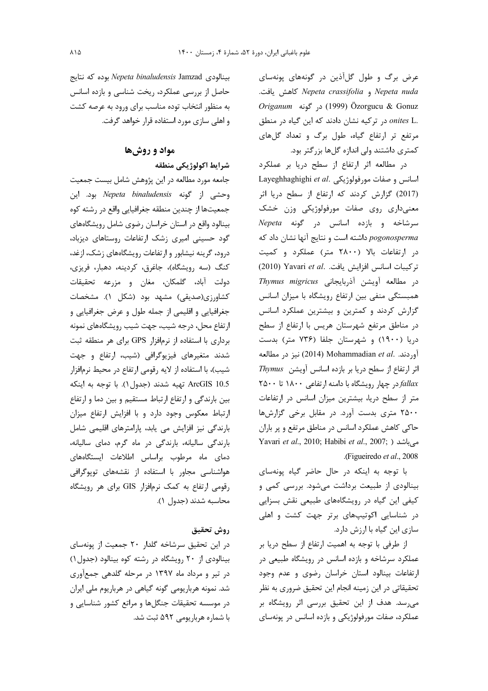عرض برگ و طول گلآذین در گونههای یونهسای Nepeta nuda و Nepeta crassifolia كاهش يافت. *Origanum* در گونه Origanum) در .onites L در تركيه نشان دادند كه اين گياه در منطق مرتفع تر ارتفاع گیاه، طول برگ و تعداد گلهای کمتری داشتند ولی اندازه گلها بزرگتر بود.

در مطالعه اثر ارتفاع از سطح دریا بر عملکرد Layeghhaghighi et al. مورفولوژیکی Layeghhaghighi et al. (2017) گزارش كردند كه ارتفاع از سطح دريا اثر معنىدارى روى صفات مورفولوژيكى وزن خشك Mepeta و بازده اسانس در گونه Nepeta pogonosperma داشته است و نتايج آنها نشان داد كه در ارتفاعات بالا (۲۸۰۰ متر) عملکرد و کمیت تركيبات اسانس افزايش يافت. Yavari et al. (2010) در مطالعه آویشن آذربایجانی Thymus migricus همبستگی منفی بین ارتفاع رویشگاه با میزان اسانس گزارش کردند و کمترین و بیشترین عملکرد اسانس در مناطق مرتفع شهرستان هريس با ارتفاع از سطح دریا (۱۹۰۰) و شهرستان جلفا (۷۳۶ متر) بدست آوردند. .Mohammadian et al (2014) نيز در مطالعه اثر ارتفاع از سطح دریا بر بازده اسانس آویشن Thymus ۲۵۰۰ تا ۶۵۰۰ جهار رویشگاه با دامنه ارتفاعی ۱۸۰۰ تا ۲۵۰۰ متر از سطح دریا، بیشترین میزان اسانس در ارتفاعات ۲۵۰۰ متری بدست آورد. در مقابل برخی گزارشها حاکی کاهش عملکرد اسانس در مناطق مرتفع و پر باران Yavari et al., 2010; Habibi et al., 2007; ) میباشد .(Figueiredo et al., 2008

با توجه به اینکه در حال حاضر گیاه پونهسای بینالودی از طبیعت برداشت میشود. بررسی کمی و کیفی این گیاه در رویشگاههای طبیعی نقش بسزایی در شناسایی اکوتیپهای برتر جهت کشت و اهلی سازی این گیاه با ارزش دارد.

از طرفی با توجه به اهمیت ارتفاع از سطح دریا بر عملکرد سرشاخه و بازده اسانس در رویشگاه طبیعی در ارتفاعات بينالود استان خراسان رضوى و عدم وجود تحقیقاتی در این زمینه انجام این تحقیق ضروری به نظر میرسد. هدف از این تحقیق بررسی اثر رویشگاه بر عملکرد، صفات مورفولوژیکی و بازده اسانس در پونهسای

بينالودي Nepeta binaludensis Jamzad بوده كه نتايج حاصل از بررسی عملکرد، ریخت شناسی و بازده اسانس به منظور انتخاب توده مناسب برای ورود به عرصه کشت و اهلی سازی مورد استفاده قرار خواهد گرفت.

## مواد و روشها

شرايط اكولوژيكي منطقه

جامعه مورد مطالعه در این پژوهش شامل بیست جمعیت وحشى از گونه Nepeta binaludensis بود. اين جمعیتها از چندین منطقه جغرافیایی واقع در رشته کوه بینالود واقع در استان خراسان رضوی شامل رویشگاههای گود حسینی امیری زشک ارتفاعات روستاهای دیزباد، درود، گرینه نیشابور و ارتفاعات رویشگاههای زشک، ازغد، كنگ (سه رويشگاه)، جاغرق، كردينه، دهبار، فريزي، دولت آباد، گلمکان، مغان و مزرعه تحقیقات كشاورزي(صديقى) مشهد بود (شكل ١). مشخصات جغرافیایی و اقلیمی از جمله طول و عرض جغرافیایی و ارتفاع محل، درجه شیب، جهت شیب رویشگاههای نمونه برداری با استفاده از نرمافزار GPS برای هر منطقه ثبت شدند متغیرهای فیزیوگرافی (شیب، ارتفاع و جهت شیب)، با استفاده از لایه رقومی ارتفاع در محیط نرمافزار 5.ArcGIS 10 تهيه شدند (جدول ١). با توجه به اينكه بین بارندگی و ارتفاع ارتباط مستقیم و بین دما و ارتفاع ارتباط معکوس وجود دارد و با افزایش ارتفاع میزان بارندگی نیز افزایش می یابد، پارامترهای اقلیمی شامل بارندگی سالیانه، بارندگی در ماه گرم، دمای سالیانه، دمای ماه مرطوب براساس اطلاعات ایستگاههای هواشناسی مجاور با استفاده از نقشههای توپوگرافی رقومی ارتفاع به کمک نرمافزار GIS برای هر رویشگاه محاسبه شدند (جدول ١).

# روش تحقيق

در این تحقیق سرشاخه گلدار ۲۰ جمعیت از یونهسای بینالودی از ۲۰ رویشگاه در رشته کوه بینالود (جدول ۱) در تیر و مرداد ماه ۱۳۹۷ در مرحله گلدهی جمعآوری شد. نمونه هرباریومی گونه گیاهی در هرباریوم ملی ایران در موسسه تحقیقات جنگلها و مراتع کشور شناسایی و با شماره هرباریومی ۵۹۲ ثبت شد.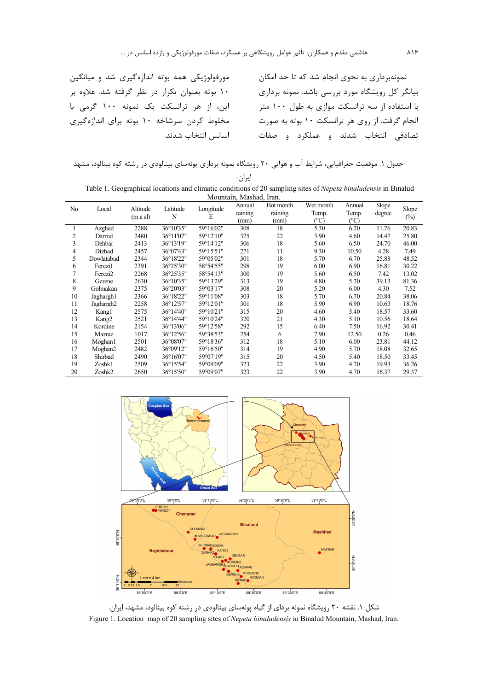مورفولوژیکی همه بوته اندازهگیری شد و میانگین ۱۰ بوته بعنوان تكرار در نظر گرفته شد. علاوه بر این، از هر ترانسکت یک نمونه ۱۰۰ گرمی با مخلوط کردن سرشاخه ۱۰ بوته برای اندازهگیری اسانس انتخاب شدند.

نمونهبرداری به نحوی انجام شد که تا حد امکان بیانگر کل رویشگاه مورد بررسی باشد. نمونه برداری با استفاده از سه ترانسکت موازی به طول ۱۰۰ متر انجام گرفت. از روی هر ترانسکت ۱۰ بوته به صورت تصادفی انتخاب شدند و عملکرد و صفات

جدول ۱. موقعیت جغرافیایی، شرایط آب و هوایی ۲۰ رویشگاه نمونه برداری پونهسای بینالودی در رشته کوه بینالود، مشهد

ايران.

| Table 1. Geographical locations and climatic conditions of 20 sampling sites of <i>Nepeta binaludensis</i> in Binalud |  |                                 |  |                |  |  |  |  |
|-----------------------------------------------------------------------------------------------------------------------|--|---------------------------------|--|----------------|--|--|--|--|
| Mountain, Mashad, Iran.                                                                                               |  |                                 |  |                |  |  |  |  |
|                                                                                                                       |  | Annual Hotmonth Wetmonth Annual |  | S <sub>l</sub> |  |  |  |  |

| No | Local                 | Altitude<br>$(m \text{ a sl})$ | Latitude<br>N | Longitude<br>E | Annual<br>raining<br>(mm) | Hot month<br>raining<br>(mm) | Wet month<br>Temp.<br>$(^\circ C)$ | Annual<br>Temp.<br>(°C) | Slope<br>degree | Slope<br>$(\%)$ |
|----|-----------------------|--------------------------------|---------------|----------------|---------------------------|------------------------------|------------------------------------|-------------------------|-----------------|-----------------|
|    | Azghad                | 2288                           | 36°10'35"     | 59°16'02"      | 308                       | 18                           | 5.30                               | 6.20                    | 11.76           | 20.83           |
| 2  | Darrod                | 2480                           | 36°11'07"     | 59°12'10"      | 325                       | 22                           | 3.90                               | 4.60                    | 14.47           | 25.80           |
| 3  | Dehbar                | 2413                           | 36°13'19"     | 59°14'12"      | 306                       | 18                           | 5.60                               | 6.50                    | 24.70           | 46.00           |
| 4  | Dizbad                | 2457                           | 36°07'43"     | 59°15'51"      | 271                       | 11                           | 9.30                               | 10.50                   | 4.28            | 7.49            |
| 5  | Dowlatabad            | 2344                           | 36°18'22"     | 59°05'02"      | 301                       | 18                           | 5.70                               | 6.70                    | 25.88           | 48.52           |
| 6  | Ferezil               | 2391                           | 36°25'30"     | 58°54'55"      | 298                       | 19                           | 6.00                               | 6.90                    | 16.81           | 30.22           |
|    | Ferezi2               | 2268                           | 36°25'35"     | 58°54'13"      | 300                       | 19                           | 5.60                               | 6.50                    | 7.42            | 13.02           |
| 8  | Gerene                | 2630                           | 36°10'35"     | 59°13'29"      | 313                       | 19                           | 4.80                               | 5.70                    | 39.13           | 81.36           |
| 9  | Golmakan              | 2375                           | 36°20'03"     | 59°03'17"      | 308                       | 20                           | 5.20                               | 6.00                    | 4.30            | 7.52            |
| 10 | Jaghargh1             | 2366                           | 36°18'22"     | 59°11'08"      | 303                       | 18                           | 5.70                               | 6.70                    | 20.84           | 38.06           |
| 11 | Jaghargh <sub>2</sub> | 2258                           | 36°12'57"     | 59°12'01"      | 301                       | 18                           | 5.90                               | 6.90                    | 10.63           | 18.76           |
| 12 | Kang1                 | 2575                           | 36°14'40"     | 59°10'21"      | 315                       | 20                           | 4.60                               | 5.40                    | 18.57           | 33.60           |
| 13 | Kang <sub>2</sub>     | 2521                           | 36°14'44"     | 59°10'24"      | 320                       | 21                           | 4.30                               | 5.10                    | 10.56           | 18.64           |
| 14 | Kordine               | 2154                           | 36°13'06"     | 59°12'58"      | 292                       | 15                           | 6.40                               | 7.50                    | 16.92           | 30.41           |
| 15 | Mazrae                | 1017                           | 36°12'56"     | 59°38'53"      | 254                       | 6                            | 7.90                               | 12.50                   | 0.26            | 0.46            |
| 16 | Moghan1               | 2501                           | 36°08'07"     | 59°18'36"      | 312                       | 18                           | 5.10                               | 6.00                    | 23.81           | 44.12           |
| 17 | Moghan2               | 2482                           | 36°09'12"     | 59°16'50"      | 314                       | 19                           | 4.90                               | 5.70                    | 18.08           | 32.65           |
| 18 | Shirbad               | 2490                           | 36°16'07"     | 59°07'19"      | 315                       | 20                           | 4.50                               | 5.40                    | 18.50           | 33.45           |
| 19 | Zoshk1                | 2509                           | 36°15'54"     | 59°09'09"      | 323                       | 22                           | 3.90                               | 4.70                    | 19.93           | 36.26           |
| 20 | Zoshk2                | 2650                           | 36°15'50"     | 59°09'07"      | 323                       | 22                           | 3.90                               | 4.70                    | 16.37           | 29.37           |



شکل ۱. نقشه ۲۰ رویشگاه نمونه بردای از گیاه پونهسای بینالودی در رشته کوه بینالود، مشهد، ایران. Figure 1. Location map of 20 sampling sites of *Nepeta binaludensis* in Binalud Mountain, Mashad, Iran.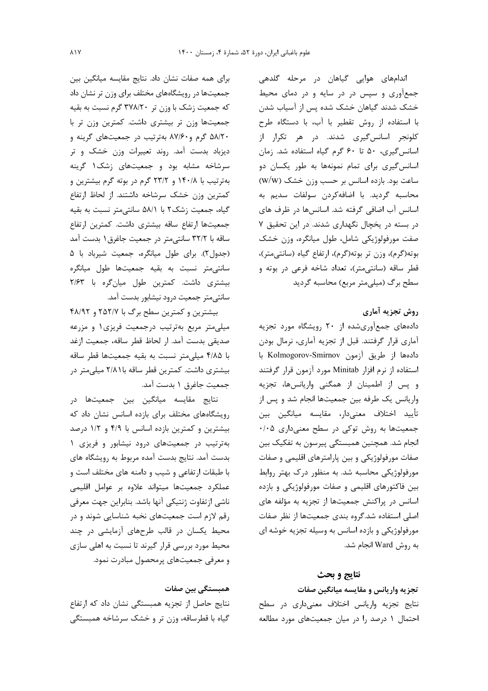برای همه صفات نشان داد. نتایج مقایسه میانگین بین جمعیتها در رویشگاههای مختلف برای وزن تر نشان داد که جمعیت زشک با وزن تر ۳۷۸/۲۰ گرم نسبت به بقیه جمعیتها وزن تر بیشتری داشت. کمترین وزن تر با ۵۸/۲۰ گرم و۸۷/۶۰ بهترتیب در جمعیتهای گرینه و دیزباد بدست آمد. روند تعییرات وزن خشک و تر سرشاخه مشابه بود و جمعیتهای زشک ۱ گرینه بهترتیب با ۱۴۰/۸ و ۲۳/۲ گرم در بوته گرم بیشترین و كمترين وزن خشك سرشاخه داشتند. از لحاظ ارتفاع گیاه، جمعیت زشک۲ با ۵۸/۱ سانتی متر نسبت به بقیه جمعیتها ارتفاع ساقه بیشتری داشت. کمترین ارتفاع ساقه با ۳۲/۲ سانتی متر در جمعیت جاغرق ۱ بدست آمد (جدول٢). براي طول ميانگره، جمعيت شيرباد با ۵ سانتی متر نسبت به بقیه جمعیتها طول میانگره بیشتری داشت. کمترین طول میان گره با ۲/۶۳ سانتی متر جمعیت درود نیشابور بدست آمد.

بیشترین و کمترین سطح برگ با ۲۵۲/۷ و ۴۸/۹۲ میلی متر مربع بهترتیب درجمعیت فریزی ۱ و مزرعه صديقى بدست آمد. ار لحاظ قطر ساقه، جمعيت ازغد با ۴/۸۵ میلی متر نسبت به بقیه جمعیتها قطر ساقه بیشتری داشت. کمترین قطر ساقه با ۲/۸۱ میلیمتر در جمعیت جاغرق ۱ بدست آمد.

نتايج مقايسه ميانگين بين جمعيتها در رویشگاههای مختلف برای بازده اسانس نشان داد که بیشترین و کمترین بازده اسانس با ۴/۹ و ۱/۲ درصد بهترتيب در جمعيتهاى درود نيشابور و فريزى ١ بدست آمد. نتایج بدست آمده مربوط به رویشگاه های با طبقات ارتفاعی و شیب و دامنه های مختلف است و عملکرد جمعیتها میتواند علاوه بر عوامل اقلیمی ناشی ازتفاوت ژنتیکی آنها باشد. بنابراین جهت معرفی رقم لازم است جمعیتهای نخبه شناسایی شوند و در محیط یکسان در قالب طرحهای آزمایشی در چند محیط مورد بررسی قرار گیرند تا نسبت به اهلی سازی و معرفی جمعیتهای پرمحصول مبادرت نمود.

#### همبستگی بین صفات

نتایج حاصل از تجزیه همبستگی نشان داد که ارتفاع گیاه با قطرساقه، وزن تر و خشک سرشاخه همبستگی اندامهای هوایی گیاهان در مرحله گلدهی جمعآوری و سپس در در سایه و در دمای محیط خشک شدند گیاهان خشک شده پس از آسیاب شدن با استفاده از روش تقطیر با آب، با دستگاه طرح کلونجر اسانس گیری شدند. در هر تکرار از اسانس گیری، ۵۰ تا ۶۰ گرم گیاه استفاده شد. زمان اسانس گیری برای تمام نمونهها به طور یکسان دو ساعت بود. بازده اسانس بر حسب وزن خشک (W/W) محاسبه گردید. با اضافهکردن سولفات سدیم به اسانس آب اضافی گرفته شد. اسانسها در ظرف های در بسته در یخچال نگهداری شدند. در این تحقیق ۷ صفت مورفولوژیکی شامل، طول میانگره، وزن خشک بوته(گرم)، وزن تر بوته(گرم)، ارتفاع گیاه (سانتی متر)، قطر ساقه (سانتی متر)، تعداد شاخه فرعی در بوته و سطح برگ (میلی متر مربع) محاسبه گردید

## روش تجزيه آماري

دادههای جمعآوریشده از ۲۰ رویشگاه مورد تجزیه آماری قرار گرفتند. قبل از تجزیه آماری، نرمال بودن دادهها از طريق آزمون Kolmogorov-Smirnov با استفاده از نرم افزار Minitab مورد آزمون قرار گرفتند و پس از اطمینان از همگنی واریانسها، تجزیه واریانس یک طرفه بین جمعیتها انجام شد و پس از تأييد اختلاف معنىدار، مقايسه ميانگين بين جمعیتها به روش توکی در سطح معنیداری ۰/۰۵ انجام شد. همچنین همبستگی پیرسون به تفکیک بین صفات مورفولوژیکی و بین پارامترهای اقلیمی و صفات مورفولوژیکی محاسبه شد. به منظور درک بهتر روابط بین فاکتورهای اقلیمی و صفات مورفولوژیکی و بازده اسانس در پراکنش جمعیتها از تجزیه به مؤلفه های اصلی استفاده شد.گروه بندی جمعیتها از نظر صفات مورفولوژیکی و بازده اسانس به وسیله تجزیه خوشه ای به روش Ward انجام شد.

#### نتايج و بحث

### تجزيه واريانس و مقايسه ميانگين صفات

نتايج تجزيه واريانس اختلاف معنىدارى در سطح احتمال ١ درصد ١٫ در ميان جمعيتهاى مورد مطالعه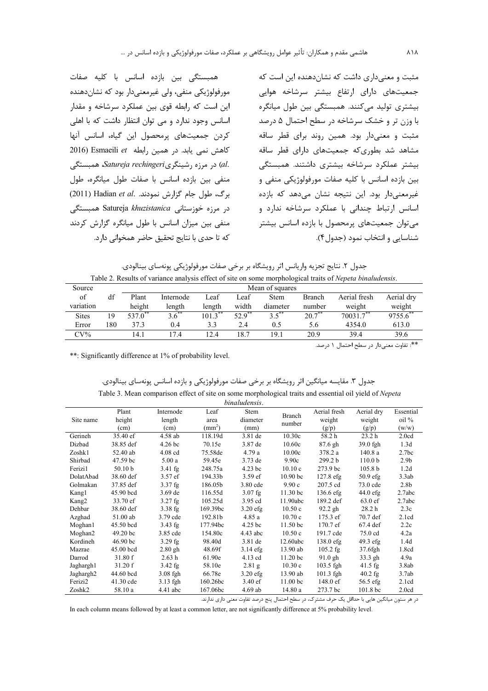همبستگی بین بازده اسانس با کلیه صفات مورفولوژیکی منفی، ولی غیرمعنیدار بود که نشاندهنده این است که رابطه قوی بین عملکرد سرشاخه و مقدار اسانس وجود ندارد و می توان انتظار داشت که با اهلی كردن جمعيتهاى يرمحصول اين گياه، اسانس آنها كاهش نمى يابد. در همين رابطه Esmaeili et (2016 .al) در مرزه رشینگریSatureja rechingeri همبستگی منفی بین بازده اسانس با صفات طول میانگره، طول برگ، طول جام گزارش نمودند. Hadian et al. (2011) در مرزه خوزستانی Satureja khuzistanica همبستگی منفی بین میزان اسانس با طول میانگره گزارش کردند كه تا حدى با نتايج تحقيق حاضر همخواني دارد.

مثبت و معنی داری داشت که نشان دهنده این است که جمعیتهای دارای ارتفاع بیشتر سرشاخه هوایی بیشتری تولید میکنند. همبستگی بین طول میانگره با وزن تر و خشک سرشاخه در سطح احتمال ۵ درصد مثبت و معنیدار بود. همین روند برای قطر ساقه مشاهد شد بطوری که جمعیتهای دارای قطر ساقه بیشتر عملکرد سرشاخه بیشتری داشتند. همبستگی بين بازده اسانس با كليه صفات مورفولوژيكي منفي و غیرمعنی دار بود. این نتیجه نشان می دهد که بازده اسانس ارتباط چندانی با عملکرد سرشاخه ندارد و میتوان جمعیتهای پرمحصول با بازده اسانس بیشتر شناسايي و انتخاب نمود (جدول۴).

| جدول ۲. نتایج تجزیه واریانس اثر رویشگاه بر برخی صفات مورفولوژیکی پونهسای بینالودی.                        |  |
|-----------------------------------------------------------------------------------------------------------|--|
| Table 2. Results of variance analysis effect of site on some morphological traits of Nepeta binaludensis. |  |

| Source       |     |        |           |            |           | Mean of squares |           |              |            |  |
|--------------|-----|--------|-----------|------------|-----------|-----------------|-----------|--------------|------------|--|
| of           | df  | Plant  | Internode | Leaf       | Leaf      | <b>Stem</b>     | Branch    | Aerial fresh | Aerial drv |  |
| variation    |     | height | length    | length     | width     | diameter        | number    | weight       | weight     |  |
| <b>Sites</b> | 19  | 537.0  | 3.6       | $101.3$ ** | $52.9$ ** | $3.5$ **        | $20.7$ ** | $70031.7$ ** | 9755.6     |  |
| Error        | 180 | 37.3   | 0.4       | 3.3        | 2.4       | 0.5             | 5.6       | 4354.0       | 613.0      |  |
| $CV\%$       |     | 14.1   | 17.4      | 12.4       | 18.7      | 19.1            | 20.9      | 39.4         | 39.6       |  |
|              |     |        |           |            |           |                 |           |              | .          |  |

\*\*: تفاوت معنىدار در سطح احتمال ١ درصد.

\*\*: Significantly difference at 1% of probability level.

#### جدول ۳. مقایسه میانگین اثر رویشگاه بر برخی صفات مورفولوژیکی و بازده اسانس پونهسای بینالودی.

| Table 3. Mean comparison effect of site on some morphological traits and essential oil vield of <i>Nepeta</i> |  |  |  |  |  |  |  |  |  |
|---------------------------------------------------------------------------------------------------------------|--|--|--|--|--|--|--|--|--|
| hinaludansis                                                                                                  |  |  |  |  |  |  |  |  |  |

|                       |                       |                    |                 | <i>umanachois</i> . |                     |                    |                     |                   |
|-----------------------|-----------------------|--------------------|-----------------|---------------------|---------------------|--------------------|---------------------|-------------------|
|                       | Plant                 | Internode          | Leaf            | Stem                | Branch              | Aerial fresh       | Aerial dry          | Essential         |
| Site name             | height                | length             | area            | diameter            | number              | weight             | weight              | $oil\%$           |
|                       | (cm)                  | (cm)               | $\text{mm}^2$ ) | (mm)                |                     | (g/p)              | (g/p)               | (w/w)             |
| Gerineh               | 35.40 ef              | 4.58 ab            | 118.19d         | 3.81 de             | 10.30c              | 58.2h              | 23.2 <sub>h</sub>   | 2.0cd             |
| Dizbad                | 38.85 def             | 4.26 <sub>bc</sub> | 70.15e          | 3.87 de             | 10.60c              | 87.6 gh            | 39.0 fgh            | 1.3d              |
| Zoshk1                | 52.40 ab              | $4.08$ cd          | 75.58de         | 4.79a               | 10.00c              | 378.2 a            | 140.8a              | 2.7 <sub>bc</sub> |
| Shirbad               | 47.59 <sub>bc</sub>   | 5.00a              | 59.45e          | $3.73$ de           | 9.90c               | 299.2 <sub>b</sub> | 110.0 <sub>b</sub>  | 2.9 <sub>b</sub>  |
| Ferizi1               | 50.10 <sub>b</sub>    | $3.41$ fg          | 248.75a         | $4.23$ bc           | 10.10c              | 273.9 bc           | 105.8 <sub>b</sub>  | 1.2d              |
| DolatAbad             | 38.60 def             | $3.57$ ef          | 194.33b         | $3.59$ ef           | 10.90 <sub>bc</sub> | $127.8$ efg        | $50.9$ efg          | 3.3ab             |
| Golmakan              | 37.85 def             | $3.37$ fg          | 186.05b         | 3.80 cde            | 9.90c               | 207.5 cd           | 73.0 cde            | 2.8 <sub>b</sub>  |
| Kang1                 | 45.90 bcd             | $3.69$ de          | 116.55d         | $3.07$ fg           | $11.30$ bc          | $136.6$ efg        | $44.0 \text{ efg}$  | 2.7abc            |
| Kang2                 | 33.70 ef              | $3.27$ fg          | 105.25d         | $3.95$ cd           | 11.90abc            | 189.2 def          | $63.0 \text{ ef}$   | 2.7abc            |
| Dehbar                | 38.60 def             | $3.38$ fg          | 169.39bc        | $3.20$ efg          | 10.50c              | $92.2$ gh          | 28.2 <sub>h</sub>   | 2.3c              |
| Azghad                | $51.00$ ab            | $3.79$ cde         | 192.81b         | 4.85 a              | 10.70c              | 175.3 ef           | 70.7 def            | 2.1cd             |
| Moghan1               | 45.50 bcd             | $3.43$ fg          | 177.94bc        | 4.25 <sub>bc</sub>  | 11.50 <sub>bc</sub> | $170.7 \text{ ef}$ | $67.4$ def          | 2.2c              |
| Moghan2               | 49.20 <sub>bc</sub>   | 3.85 cde           | 154.80c         | $4.43$ abc          | 10.50c              | 191.7 cde          | $75.0 \text{ cd}$   | 4.2a              |
| Kordineh              | $46.90 \,\mathrm{bc}$ | $3.29$ fg          | 98.40d          | 3.81 de             | 12.60abc            | $138.0$ efg        | $49.3$ efg          | 1.4d              |
| Mazrae                | $45.00$ bcd           | $2.80$ gh          | 48.69f          | $3.14$ efg          | 13.90 ab            | $105.2$ fg         | 37.6fgh             | 1.8cd             |
| Darrod                | 31.80 f               | 2.63h              | 61.90e          | $4.13$ cd           | 11.20 <sub>bc</sub> | $91.0$ gh          | 33.3 gh             | 4.9a              |
| Jaghargh1             | 31.20 f               | $3.42$ fg          | 58.10e          | $2.81$ g            | 10.30c              | $103.5$ fgh        | $41.5$ fg           | 3.8ab             |
| Jaghargh <sub>2</sub> | 44.60 bcd             | $3.08$ fgh         | 66.78e          | $3.20$ efg          | 13.90 ab            | $101.3$ fgh        | $40.2$ fg           | 3.7ab             |
| Ferizi2               | $41.30$ cde           | $3.13$ fgh         | 160.26bc        | 3.40 ef             | 11.00 <sub>bc</sub> | 148.0 ef           | $56.5$ efg          | 2.1cd             |
| Zoshk2                | 58.10 a               | $4.41$ abc         | 167.06bc        | $4.69$ ab           | 14.80 a             | 273.7 bc           | 101.8 <sub>bc</sub> | 2.0cd             |

در هر ستون میانگین هایی با حداقل یک حرف مشترک، در سطح احتمال پنج درصد تفاوت معنی داری ندارند.

In each column means followed by at least a common letter, are not significantly difference at 5% probability level.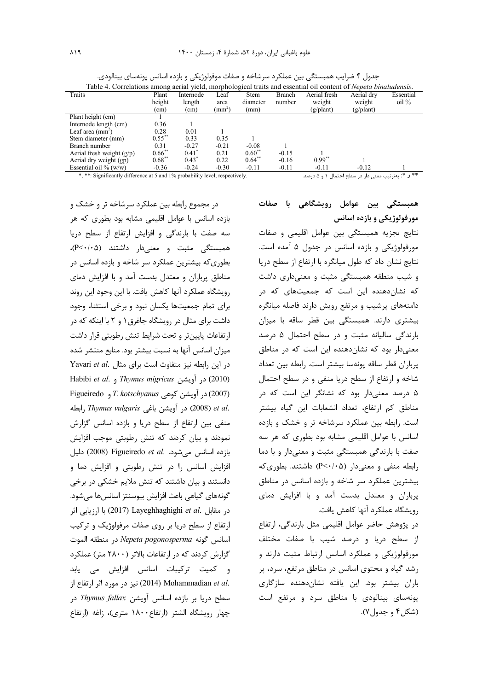| Table 4. Correlations among aerial yield, morphological traits and essential oil content of <i>Nepeta binaludensis</i> .           |                      |           |                 |             |         |                    |                    |                                |
|------------------------------------------------------------------------------------------------------------------------------------|----------------------|-----------|-----------------|-------------|---------|--------------------|--------------------|--------------------------------|
| Traits                                                                                                                             | Plant                | Internode | Leaf            | <b>Stem</b> | Branch  | Aerial fresh       | Aerial drv         | Essential                      |
|                                                                                                                                    | height               | length    | area            | diameter    | number  | weight             | weight             | $\frac{\text{oil}}{\text{}}\%$ |
|                                                                                                                                    | (cm)                 | (cm)      | $\text{(mm}^*)$ | (mm)        |         | $(g/\text{plant})$ | $(g/\text{plant})$ |                                |
| Plant height (cm)                                                                                                                  |                      |           |                 |             |         |                    |                    |                                |
| Internode length (cm)                                                                                                              | 0.36                 |           |                 |             |         |                    |                    |                                |
| Leaf area $(mm2)$                                                                                                                  | 0.28                 | 0.01      |                 |             |         |                    |                    |                                |
| Stem diameter (mm)                                                                                                                 | $0.55***$            | 0.33      | 0.35            |             |         |                    |                    |                                |
| Branch number                                                                                                                      | 0.31                 | $-0.27$   | $-0.21$         | $-0.08$     |         |                    |                    |                                |
| Aerial fresh weight $(g/p)$                                                                                                        | $0.66$ <sup>**</sup> | $0.41^*$  | 0.21            | $0.60^{**}$ | $-0.15$ |                    |                    |                                |
| Aerial dry weight (gp)                                                                                                             | $0.68***$            | $0.43^*$  | 0.22            | $0.64***$   | $-0.16$ | $0.99***$          |                    |                                |
| Essential oil % $(w/w)$                                                                                                            | $-0.36$              | $-0.24$   | $-0.30$         | $-0.11$     | $-0.11$ | $-0.11$            | $-0.12$            |                                |
| ** و *: بهترتيب معنى دار در سطح احتمال ١ و ۵ درصد.<br>*, **: Significantly difference at 5 and 1% probability level, respectively. |                      |           |                 |             |         |                    |                    |                                |

جدول ۴ ضرایب همبستگی بین عملکرد سرشاخه و صفات موفولوژیکی و بازده اسانس پونهسای بینالودی.

در مجموع رابطه بین عملکرد سرشاخه تر و خشک و بازده اسانس با عوامل اقلیمی مشابه بود بطوری که هر سه صفت با بارندگی و افزایش ارتفاع از سطح دریا همبستگی مثبت و معنیدار داشتند (P<۰/۰۵)، بطوری که بیشترین عملکرد سر شاخه و بازده اسانس در مناطق پرباران و معتدل بدست آمد و با افزایش دمای رويشگاه عملكرد آنها كاهش يافت. با اين وجود اين روند برای تمام جمعیتها یکسان نبود و برخی استثناء وجود داشت برای مثال در رویشگاه جاغرق۱ و ۲ با اینکه که در ارتفاعات پایینتر و تحت شرایط تنش رطوبتی قرار داشت میزان اسانس آنها به نسبت بیشتر بود. منابع منتشر شده Yavari et al. در این رابطه نیز متفاوت است برای مثال Habibi et al. , Thymus migricus و. Habibi et al. Figueiredo ور آویشن کوهی T. kotschyanus و Figueiredo .et al (2008) در آویشن باغی Thymus vulgaris رابطه منفی بین ارتفاع از سطح دریا و بازده اسانس گزارش نمودند و بیان کردند که تنش رطوبتی موجب افزایش بازده اسانس می شود. Figueiredo et al. دلیل افزایش اسانس را در تنش رطوبتی و افزایش دما و دانستند و بیان داشتند که تنش ملایم خشکی در برخی گونههای گیاهی باعث افزایش بیوسنتز اسانسها میشود. در مقابل .Layeghhaghighi et al (2017) با ارزيابي اثر ارتفاع از سطح دریا بر روی صفات مرفولوژیک و ترکیب اسانس گونه Nepeta pogonosperma در منطقه الموت گزارش کردند که در ارتفاعات بالاتر (۲۸۰۰ متر) عملکرد و کمیت ترکیبات اسانس افزایش می یابد :(2014) Mohammadian et al. نيز در مورد اثر ارتفاع از سطح دريا بر بازده اسانس آويشن Thymus fallax در چهار رویشگاه الشتر (ارتفاع ۱۸۰۰ متری)، زاغه (ارتفاع

همبستگی بین عوامل رویشگاهی با صفات مورفولوژیکی و بازده اسانس

نتايج تجزيه همبستگى بين عوامل اقليمى و صفات مورفولوژیکی و بازده اسانس در جدول ۵ آمده است. نتايج نشان داد كه طول ميانگره با ارتفاع از سطح دريا و شیب منطقه همبستگی مثبت و معنیداری داشت که نشاندهنده این است که جمعیتهای که در دامنههای پرشیب و مرتفع رویش دارند فاصله میانگره بیشتری دارند. همبستگی بین قطر ساقه با میزان بارندگی سالیانه مثبت و در سطح احتمال ۵ درصد معنی دار بود که نشان دهنده این است که در مناطق پرباران قطر ساقه پونهسا بیشتر است. رابطه بین تعداد شاخه و ارتفاع از سطح دریا منفی و در سطح احتمال ۵ درصد معنیدار بود که نشانگر این است که در مناطق کم ارتفاع، تعداد انشعابات این گیاه بیشتر است. رابطه بین عملکرد سرشاخه تر و خشک و بازده اسانس با عوامل اقلیمی مشابه بود بطوری که هر سه صفت با بارندگی همبستگی مثبت و معنیدار و با دما رابطه منفی و معنی دار (P<٠/٠۵) داشتند. بطوری که بیشترین عملکرد سر شاخه و بازده اسانس در مناطق پرباران و معتدل بدست آمد و با افزایش دمای رويشگاه عملكرد آنها كاهش يافت.

در پژوهش حاضر عوامل اقلیمی مثل بارندگی، ارتفاع از سطح دریا و درصد شیب با صفات مختلف مورفولوژیکی و عملکرد اسانس ارتباط مثبت دارند و رشد گیاه و محتوی اسانس در مناطق مرتفع، سرد، پر باران بیشتر بود. این یافته نشاندهنده سازگاری یونهسای بینالودی با مناطق سرد و مرتفع است (شکل ۴ و جدول ۷).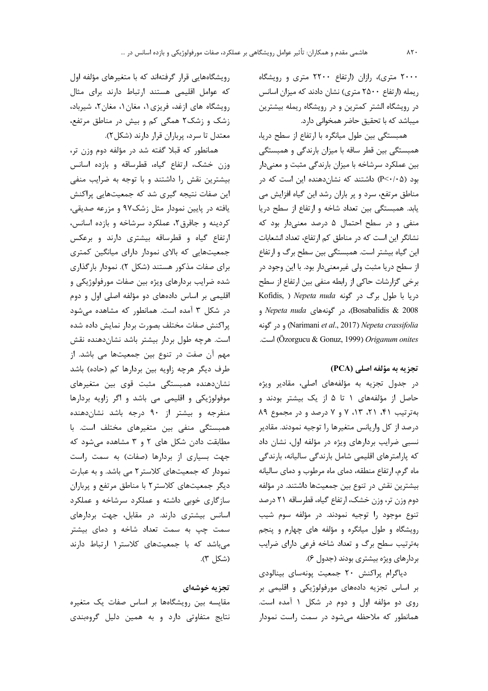۲۰۰۰ متری)، رازان (ارتفاع ۲۲۰۰ متری و رویشگاه ریمله (ارتفاع ۲۵۰۰ متری) نشان دادند که میزان اسانس در رویشگاه الشتر کمترین و در رویشگاه ریمله بیشترین میباشد که با تحقیق حاضر همخوانی دارد.

همبستگی بین طول میانگره با ارتفاع از سطح دریا، همبستگی بین قطر ساقه با میزان بارندگی و همبستگی بین عملکرد سرشاخه با میزان بارندگی مثبت و معنیدار بود (P<٠/٠۵) داشتند که نشاندهنده این است که در مناطق مرتفع، سرد و پر باران رشد این گیاه افزایش می یابد. همبستگی بین تعداد شاخه و ارتفاع از سطح دریا منفی و در سطح احتمال ۵ درصد معنیدار بود که نشانگر این است که در مناطق کم ارتفاع، تعداد انشعابات این گیاه بیشتر است. همبستگی بین سطح برگ و ارتفاع از سطح دریا مثبت ولی غیرمعنیدار بود. با این وجود در برخي گزارشات حاكي از رابطه منفي بين ارتفاع از سطح Kofidis, ) Nepeta nuda دريا با طول برگ در گونه Bosabalidis & 2008)، در گونههای Nepeta nuda و و در گونه (Narimani et al., 2017) Nepeta crassifolia است. (Özorgucu & Gonuz, 1999) Origanum onites

# تجزيه به مؤلفه اصلي (PCA)

در جدول تجزیه به مؤلفههای اصلی، مقادیر ویژه حاصل از مؤلفههای ۱ تا ۵ از یک بیشتر بودند و به ترتیب ۴۱، ۲۱، ۱۳، ۷ و ۷ درصد و در مجموع ۸۹ درصد از كل واريانس متغيرها را توجيه نمودند. مقادير نسبی ضرایب بردارهای ویژه در مؤلفه اول، نشان داد که پارامترهای اقلیمی شامل بارندگی سالیانه، بارندگی ماه گرم، ارتفاع منطقه، دمای ماه مرطوب و دمای سالیانه بیشترین نقش در تنوع بین جمعیتها داشتند. در مؤلفه دوم وزن تر، وزن خشک، ارتفاع گیاه، قطرساقه ۲۱ درصد تنوع موجود را توجیه نمودند. در مؤلفه سوم شیب رویشگاه و طول میانگره و مؤلفه های چهارم و پنجم بهترتیب سطح برگ و تعداد شاخه فرعی دارای ضرایب بردارهای ویژه بیشتری بودند (جدول ۶).

دیاگرام پراکنش ٢٠ جمعیت پونهسای بینالودی بر اساس تجزیه دادههای مورفولوژیکی و اقلیمی بر روی دو مؤلفه اول و دوم در شکل ۱ آمده است. همانطور که ملاحظه می شود در سمت راست نمودار

رویشگاههایی قرار گرفتهاند که با متغیرهای مؤلفه اول که عوامل اقلیمی هستند ارتباط دارند برای مثال رویشگاه های ازغد، فریزی ۱، مغان ۱، مغان ۲، شیرباد، زشک و زشک۲ همگی کم و بیش در مناطق مرتفع، معتدل تا سرد، پرباران قرار دارند (شکل ۲).

همانطور که قبلا گفته شد در مؤلفه دوم وزن تر، وزن خشک، ارتفاع گیاه، قطرساقه و بازده اسانس بیشترین نقش را داشتند و با توجه به ضرایب منفی این صفات نتیجه گیری شد که جمعیتهایی پراکنش یافته در پایین نمودار مثل زشک۹۷ و مزرعه صدیقی، کردینه و جاقرق ۲، عملکرد سرشاخه و بازده اسانس، ارتفاع گیاه و قطرساقه بیشتری دارند و برعکس جمعیتهایی که بالای نمودار دارای میانگین کمتری برای صفات مذکور هستند (شکل ۲). نمودار بارگذاری شده ضرایب بردارهای ویژه بین صفات مورفولوژیکی و اقلیمی بر اساس دادههای دو مؤلفه اصلی اول و دوم در شکل ۳ آمده است. همانطور که مشاهده می شود پراکنش صفات مختلف بصورت بردار نمایش داده شده است. هرچه طول بردار بیشتر باشد نشاندهنده نقش مهم آن صفت در تنوع بین جمعیتها می باشد. از طرف دیگر هرچه زاویه بین بردارها کم (حاده) باشد نشاندهنده همبستگی مثبت قوی بین متغیرهای موفولوژیکی و اقلیمی می باشد و اگر زاویه بردارها منفرجه و بیشتر از ۹۰ درجه باشد نشاندهنده همبستگی منفی بین متغیرهای مختلف است. با مطابقت دادن شکل های ۲ و ۳ مشاهده می شود که جهت بسیاری از بردارها (صفات) به سمت راست نمودار که جمعیتهای کلاستر ۲ می باشد. و به عبارت دیگر جمعیتهای کلاستر ۲ با مناطق مرتفع و پرباران سازگاری خوبی داشته و عملکرد سرشاخه و عملکرد اسانس بیشتری دارند. در مقابل، جهت بردارهای سمت چپ به سمت تعداد شاخه و دمای بیشتر میباشد که با جمعیتهای کلاستر۱ ارتباط دارند (شكل ٣).

## تجزيه خوشهاى

مقایسه بین رویشگاهها بر اساس صفات یک متغیره نتایج متفاوتی دارد و به همین دلیل گروهبندی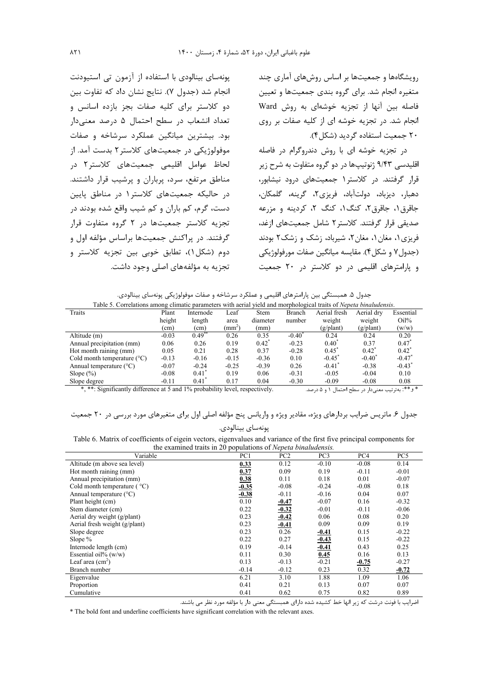رویشگاهها و جمعیتها بر اساس روشهای آماری چند متغیره انجام شد. برای گروه بندی جمعیتها و تعیین فاصله بين آنها از تجزيه خوشهاى به روش Ward انجام شد. در تجزیه خوشه ای از کلیه صفات بر روی ۲۰ جمعیت استفاده گردید (شکل ۴).

در تجزیه خوشه ای با روش دندروگرام در فاصله اقلیدسی ۹/۴۳ ژنوتیپها در دو گروه متفاوت به شرح زیر قرار گرفتند. در کلاستر ۱ جمعیتهای درود نیشابور، دهبار، ديزباد، دولتآباد، فريزي٢، گرينه، گلمكان، جاقرق ۱، جاقرق۲، کنگ۱، کنگ ۲، کردینه و مزرعه صدیقی قرار گرفتند. کلاستر ۲ شامل جمعیتهای ازغد، فریزی ۱، مغان ۱، مغان ۲، شیرباد، زشک و زشک۲ بودند (جدول ۷ و شکل ۴). مقايسه ميانگين صفات مورفولوژيکي و پارامترهای اقلیمی در دو کلاستر در ۲۰ جمعیت

یونهسای بینالودی با استفاده از آزمون تی استیودنت انجام شد (جدول ۷). نتایج نشان داد که تفاوت بین دو کلاستر برای کلیه صفات بجز بازده اسانس و تعداد انشعاب در سطح احتمال ۵ درصد معنیدار بود. بیشترین میانگین عملکرد سرشاخه و صفات موفولوژیکی در جمعیتهای کلاستر۲ بدست آمد. از لحاظ عوامل اقلیمی جمعیتهای کلاستر۲ در مناطق مرتفع، سرد، پرباران و پرشیب قرار داشتند. د, حالیکه جمعیتهای کلاستر۱ در مناطق پایین دست، گرم، کم باران و کم شیب واقع شده بودند در تجزیه کلاستر جمعیتها در ۲ گروه متفاوت قرار گرفتند. در پراکنش جمعیتها براساس مؤلفه اول و دوم (شكل)، تطابق خوبي بين تجزيه كلاستر و تجزیه به مؤلفههای اصلی وجود داشت.

جدول ۵. همبستگی بین پارامترهای اقلیمی و عملکرد سرشاخه و صفات موفولوژیکی پونهسای بینالودی.

| Table 5. Correlations among climatic parameters with aerial yield and morphological traits of <i>Nepeta binaludensis</i> . |               |                   |               |             |                   |                                                  |            |                      |
|----------------------------------------------------------------------------------------------------------------------------|---------------|-------------------|---------------|-------------|-------------------|--------------------------------------------------|------------|----------------------|
| Traits                                                                                                                     | Plant         | Internode         | Leaf          | <b>Stem</b> | Branch            | Aerial fresh                                     | Aerial dry | Essential            |
|                                                                                                                            | height        | length            | area          | diameter    | number            | weight                                           | weight     | $Oil\%$              |
|                                                                                                                            | (cm)          | (cm)              | $\text{(mm)}$ | (mm)        |                   | $(g/\text{plant})$                               | (g/plant)  | (w/w)                |
| Altitude (m)                                                                                                               | $-0.03$       | $0.49^{\degree}$  | 0.26          | 0.35        | $-0.40^{\degree}$ | 0.24                                             | 0.24       | 0.20                 |
| Annual precipitation (mm)                                                                                                  | 0.06          | 0.26              | 0.19          | $0.42^*$    | $-0.23$           | $0.40^{\circ}$                                   | 0.37       | 0.47                 |
| Hot month raining (mm)                                                                                                     | 0.05          | 0.21              | 0.28          | 0.37        | $-0.28$           | $0.45^*$                                         | $0.42^*$   | $0.42^*$             |
| Cold month temperature $(^{\circ}C)$                                                                                       | $-0.13$       | $-0.16$           | $-0.15$       | $-0.36$     | 0.10              | $-0.45^*$                                        | $-0.40^*$  | $-0.47$ <sup>*</sup> |
| Annual temperature $(^{\circ}C)$                                                                                           | $-0.07$       | $-0.24$           | $-0.25$       | $-0.39$     | 0.26              | $-0.41$ <sup>*</sup>                             | $-0.38$    | $-0.43$ <sup>*</sup> |
| Slope $(\%)$                                                                                                               | $-0.08$       | 0.41'             | 0.19          | 0.06        | $-0.31$           | $-0.05$                                          | $-0.04$    | 0.10                 |
| Slope degree                                                                                                               | $-0.11$       | 0.41              | 0.17          | 0.04        | $-0.30$           | $-0.09$                                          | $-0.08$    | 0.08                 |
| $\cdot$ $\sim$<br>$\frac{d}{dx}$ $\frac{d}{dx}$ $\frac{d}{dx}$ $\frac{d}{dx}$<br>$1.1$ $1.00$                              | $\sim$ $\sim$ | 1.111.11<br>1.101 |               |             |                   | $\sim$ $\sim$ $\sim$ $\sim$ $\sim$ $\sim$ $\sim$ |            | مله مله مله          |

\*, \*\*: Significantly difference at 5 and 1% probability level, respectively.

\* و\*\*: بهترتیب معنیدار در سطح احتمال ۱ و ۵ درصد.

# جدول ۶. ماتریس ضرایب بردارهای ویژه، مقادیر ویژه و واریانس پنج مؤلفه اصلی اول برای متغیرهای مورد بررسی در ۲۰ جمعیت

يونەساي بينالودي.

Table 6. Matrix of coefficients of eigein vectors, eigenvalues and variance of the first five principal components for the examined traits in 20 populations of Nepeta hinaludensis

|                                             |         | populations of report of numerists. |                 |         |                 |
|---------------------------------------------|---------|-------------------------------------|-----------------|---------|-----------------|
| Variable                                    | PC1     | PC2                                 | PC <sub>3</sub> | PC4     | PC <sub>5</sub> |
| Altitude (m above sea level)                | 0.33    | 0.12                                | $-0.10$         | $-0.08$ | 0.14            |
| Hot month raining (mm)                      | 0.37    | 0.09                                | 0.19            | $-0.11$ | $-0.01$         |
| Annual precipitation (mm)                   | 0.38    | 0.11                                | 0.18            | 0.01    | $-0.07$         |
| Cold month temperature ( $\rm{^{\circ}C}$ ) | $-0.35$ | $-0.08$                             | $-0.24$         | $-0.08$ | 0.18            |
| Annual temperature $(^{\circ}C)$            | $-0.38$ | $-0.11$                             | $-0.16$         | 0.04    | 0.07            |
| Plant height (cm)                           | 0.10    | $-0.47$                             | $-0.07$         | 0.16    | $-0.32$         |
| Stem diameter (cm)                          | 0.22    | $-0.32$                             | $-0.01$         | $-0.11$ | $-0.06$         |
| Aerial dry weight (g/plant)                 | 0.23    | $-0.42$                             | 0.06            | 0.08    | 0.20            |
| Aerial fresh weight (g/plant)               | 0.23    | $-0.41$                             | 0.09            | 0.09    | 0.19            |
| Slope degree                                | 0.23    | 0.26                                | $-0.41$         | 0.15    | $-0.22$         |
| Slope $%$                                   | 0.22    | 0.27                                | $-0.43$         | 0.15    | $-0.22$         |
| Internode length (cm)                       | 0.19    | $-0.14$                             | $-0.41$         | 0.43    | 0.25            |
| Essential oil% $(w/w)$                      | 0.11    | 0.30                                | 0.45            | 0.16    | 0.13            |
| Leaf area $(cm2)$                           | 0.13    | $-0.13$                             | $-0.21$         | $-0.75$ | $-0.27$         |
| Branch number                               | $-0.14$ | $-0.12$                             | 0.23            | 0.32    | $-0.72$         |
| Eigenvalue                                  | 6.21    | 3.10                                | 1.88            | 1.09    | 1.06            |
| Proportion                                  | 0.41    | 0.21                                | 0.13            | 0.07    | 0.07            |
| Cumulative                                  | 0.41    | 0.62                                | 0.75            | 0.82    | 0.89            |

اضرایب با فونت درشت که زیر انها خط کشیده شده دارای همبستگی معنی دار با مؤلفه مورد نظر می باشند.

\* The bold font and underline coefficients have significant correlation with the relevant axes.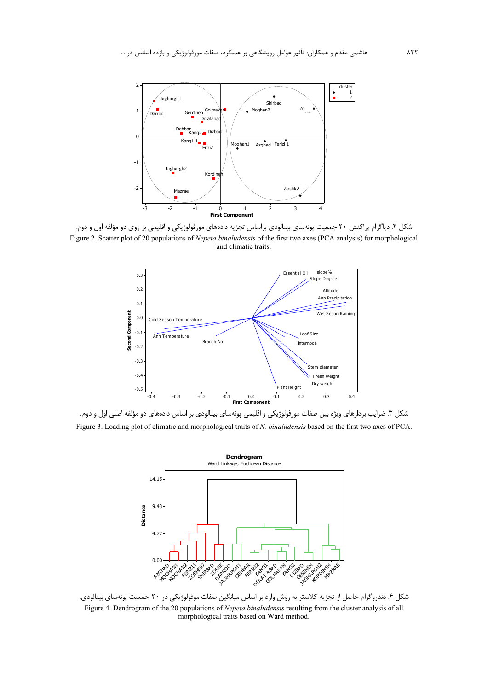

شکل ۲. دیاگرام پراکنش ۲۰ جمعیت پونهسای بینالودی براساس تجزیه دادههای مورفولوژیکی و اقلیمی بر روی دو مؤلفه اول و دوم. Figure 2. Scatter plot of 20 populations of Nepeta binaludensis of the first two axes (PCA analysis) for morphological and climatic traits.



شکل ۳. ضرایب بردارهای ویژه بین صفات مورفولوژیکی و اقلیمی پونهسای بینالودی بر اساس دادههای دو مؤلفه اصلی اول و دوم. Figure 3. Loading plot of climatic and morphological traits of N. binaludensis based on the first two axes of PCA.



شکل ۴. دندروگرام حاصل از تجزیه کلاستر به روش وارد بر اساس میانگین صفات موفولوژیکی در ۲۰ جمعیت پونهسای بینالودی. Figure 4. Dendrogram of the 20 populations of Nepeta binaludensis resulting from the cluster analysis of all morphological traits based on Ward method.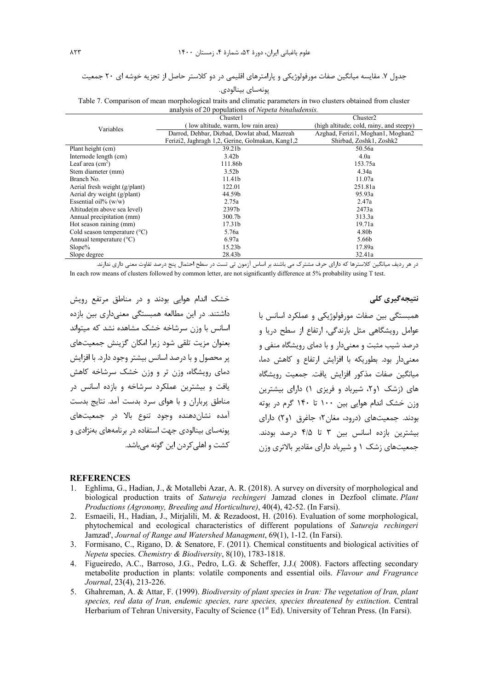# جدول ۷. مقایسه میانگین صفات مورفولوژیکی و پارامترهای اقلیمی در دو کلاستر حاصل از تجزیه خوشه ای ۲۰ جمعیت پونەساي بينالودى.

| analysis of 20 populations of <i>Nepeta binaludensis</i> . |                                                  |                                          |  |  |  |  |  |
|------------------------------------------------------------|--------------------------------------------------|------------------------------------------|--|--|--|--|--|
|                                                            | Chuster1                                         | Chuster2                                 |  |  |  |  |  |
| Variables                                                  | low altitude, warm, low rain area)               | (high altitude; cold, rainy, and steepy) |  |  |  |  |  |
|                                                            | Darrod, Dehbar, Dizbad, Dowlat abad, Mazreah     | Azghad, Ferizi1, Moghan1, Moghan2        |  |  |  |  |  |
|                                                            | Ferizi2, Jaghragh 1,2, Gerine, Golmakan, Kang1,2 | Shirbad, Zoshk1, Zoshk2                  |  |  |  |  |  |
| Plant height (cm)                                          | 39.21b                                           | 50.56a                                   |  |  |  |  |  |
| Internode length (cm)                                      | 3.42 <sub>b</sub>                                | 4.0a                                     |  |  |  |  |  |
| Leaf area $(cm2)$                                          | 111.86b                                          | 153.75a                                  |  |  |  |  |  |
| Stem diameter (mm)                                         | 3.52 <sub>b</sub>                                | 4.34a                                    |  |  |  |  |  |
| Branch No.                                                 | 11.41b                                           | 11.07a                                   |  |  |  |  |  |
| Aerial fresh weight (g/plant)                              | 122.01                                           | 251.81a                                  |  |  |  |  |  |
| Aerial dry weight (g/plant)                                | 44.59b                                           | 95.93a                                   |  |  |  |  |  |
| Essential oil% $(w/w)$                                     | 2.75a                                            | 2.47a                                    |  |  |  |  |  |
| Altitude(m above sea level)                                | 2397b                                            | 2473a                                    |  |  |  |  |  |
| Annual precipitation (mm)                                  | 300.7 <sub>b</sub>                               | 313.3a                                   |  |  |  |  |  |
| Hot season raining (mm)                                    | 17.31b                                           | 19.71a                                   |  |  |  |  |  |
| Cold season temperature $(^{\circ}C)$                      | 5.76a                                            | 4.80b                                    |  |  |  |  |  |
| Annual temperature $(^{\circ}C)$                           | 6.97a                                            | 5.66b                                    |  |  |  |  |  |
| Slope%                                                     | 15.23b                                           | 17.89a                                   |  |  |  |  |  |
| Slope degree                                               | 28.43b                                           | 32.41a                                   |  |  |  |  |  |

Table 7. Comparison of mean morphological traits and climatic parameters in two clusters obtained from cluster analysis of 20 populations of *Nepeta binaludensis.* 

در هر ردیف میانگین کلاسترها که دارای حرف مشترک می باشند بر اساس آزمون تی تست در سطح احتمال پنج درصد تفاوت معنی داری ندارند. In each row means of clusters followed by common letter, are not significantly difference at 5% probability using T test.

خشک اندام هوایی بودند و در مناطق مرتفع رویش داشتند. در این مطالعه همبستگی معنیداری بین بازده اسانس با وزن سرشاخه خشک مشاهده نشد که میتواند بعنوان مزيت تلقى شود زيرا امكان گزينش جمعيتهاى یر محصول و با درصد اسانس بیشتر وجود دارد. با افزایش دمای رویشگاه، وزن تر و وزن خشک سرشاخه کاهش یافت و بیشترین عملکرد سرشاخه و بازده اسانس در مناطق پرباران و با هوای سرد بدست آمد. نتایج بدست آمده نشاندهنده وجود تنوع بالا در جمعیتهای یونهسای بینالودی جهت استفاده در برنامههای بهنژادی و کشت و اهلی کردن این گونه میباشد.

**نتیجهگیری کلی** 

همبستگی بین صفات مورفولوژیکی و عملکرد اسانس با عوامل رویشگاهی مثل بارندگی، ارتفاع از سطح دریا و درصد شیب مثبت و معنیدار و با دمای رویشگاه منفی و معنی دار بود. بطوریکه با افزایش ارتفاع و کاهش دما، میانگین صفات مذکور افزایش یافت. جمعیت رویشگاه های (زشک ۱و۲، شیرباد و فریزی ۱) دارای بیشترین وزن خشک اندام هوایی بین ۱۰۰ تا ۱۴۰ گرم در بوته بودند. جمعیتهای (درود، مغان۲؛ جاغرق (۲۰) دارای بیشترین بازده اسانس بین ۳ تا ۴/۵ درصد بودند. جمعیتهای زشک ۱ و شیرباد دارای مقادیر بالاتری وزن

#### **REFERENCES**

- 1. Eghlima, G., Hadian, J., & Motallebi Azar, A. R. (2018). A survey on diversity of morphological and biological production traits of *Satureja rechingeri* Jamzad clones in Dezfool climate. *Plant Productions (Agronomy, Breeding and Horticulture)*, 40(4), 42-52. (In Farsi).
- 2. Esmaeili, H., Hadian, J., Mirjalili, M. & Rezadoost, H. (2016). Evaluation of some morphological, phytochemical and ecological characteristics of different populations of *Satureja rechingeri* Jamzad', *Journal of Range and Watershed Managment*, 69(1), 1-12. (In Farsi).
- 3. Formisano, C., Rigano, D. & Senatore, F. (2011). Chemical constituents and biological activities of *Nepeta* species. *Chemistry & Biodiversity*, 8(10), 1783-1818.
- 4. Figueiredo, A.C., Barroso, J.G., Pedro, L.G. & Scheffer, J.J.( 2008). Factors affecting secondary metabolite production in plants: volatile components and essential oils. *Flavour and Fragrance Journal*, 23(4), 213-226.
- 5. Ghahreman, A. & Attar, F. (1999). *Biodiversity of plant species in Iran: The vegetation of Iran, plant species, red data of Iran, endemic species, rare species, species threatened by extinction*. Central Herbarium of Tehran University, Faculty of Science  $(1<sup>st</sup> Ed)$ . University of Tehran Press. (In Farsi).